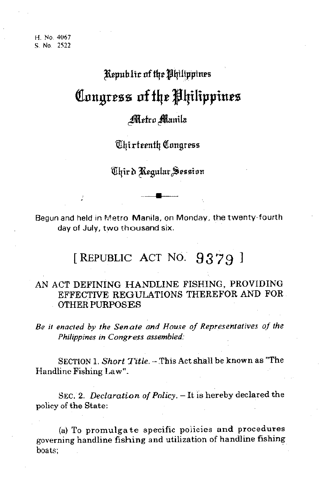## Republic of the Philippines Congress of the Philippines

## Metro Manila

Chirteenth Congress

Chird Regular Session

Begun and held in Metro Manila, on Monday, the twenty-fourth day of July, two thousand six.

## [REPUBLIC ACT NO. 9379]

## AN ACT DEFINING HANDLINE FISHING, PROVIDING EFFECTIVE REGULATIONS THEREFOR AND FOR. **OTHER PURPOSES**

Be it enacted by the Senate and House of Representatives of the Philippines in Congress assembled.

SECTION 1. Short Title. - This Act shall be known as "The Handline Fishing Law".

SEC. 2. Declaration of Policy. - It is hereby declared the policy of the State:

(a) To promulgate specific policies and procedures governing handline fishing and utilization of handline fishing boats: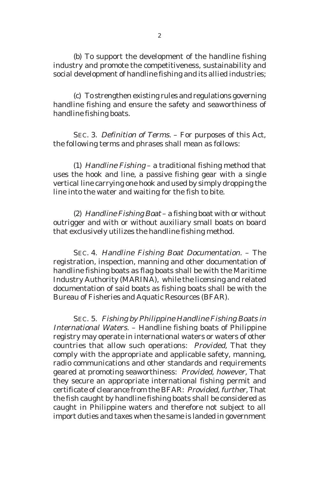(b) To support the development of the handline fishing industry and promote the competitiveness, sustainability and social development of handline fishing and its allied industries;

(c) To strengthen existing rules and regulations governing handline fishing and ensure the safety and seaworthiness of handline fishing boats.

SEC. 3. Definition of Terms. – For purposes of this Act, the following terms and phrases shall mean as follows:

(1) Handline Fishing – a traditional fishing method that uses the hook and line, a passive fishing gear with a single vertical line carrying one hook and used by simply dropping the line into the water and waiting for the fish to bite.

(2) Handline Fishing Boat – a fishing boat with or without outrigger and with or without auxiliary small boats on board that exclusively utilizes the handline fishing method.

SEC. 4. Handline Fishing Boat Documentation. – The registration, inspection, manning and other documentation of handline fishing boats as flag boats shall be with the Maritime Industry Authority (MARINA), while the licensing and related documentation of said boats as fishing boats shall be with the Bureau of Fisheries and Aquatic Resources (BFAR).

SEC. 5. Fishing by Philippine Handline Fishing Boats in International Waters. – Handline fishing boats of Philippine registry may operate in international waters or waters of other countries that allow such operations: Provided, That they comply with the appropriate and applicable safety, manning, radio communications and other standards and requirements geared at promoting seaworthiness: Provided, however, That they secure an appropriate international fishing permit and certificate of clearance from the BFAR: Provided, further, That the fish caught by handline fishing boats shall be considered as caught in Philippine waters and therefore not subject to all import duties and taxes when the same is landed in government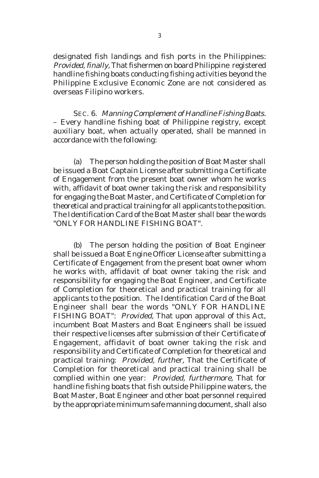designated fish landings and fish ports in the Philippines: Provided, finally, That fishermen on board Philippine registered handline fishing boats conducting fishing activities beyond the Philippine Exclusive Economic Zone are not considered as overseas Filipino workers.

SEC. 6. Manning Complement of Handline Fishing Boats. – Every handline fishing boat of Philippine registry, except auxiliary boat, when actually operated, shall be manned in accordance with the following:

(a) The person holding the position of Boat Master shall be issued a Boat Captain License after submitting a Certificate of Engagement from the present boat owner whom he works with, affidavit of boat owner taking the risk and responsibility for engaging the Boat Master, and Certificate of Completion for theoretical and practical training for all applicants to the position. The Identification Card of the Boat Master shall bear the words "ONLY FOR HANDLINE FISHING BOAT".

(b) The person holding the position of Boat Engineer shall be issued a Boat Engine Officer License after submitting a Certificate of Engagement from the present boat owner whom he works with, affidavit of boat owner taking the risk and responsibility for engaging the Boat Engineer, and Certificate of Completion for theoretical and practical training for all applicants to the position. The Identification Card of the Boat Engineer shall bear the words "ONLY FOR HANDLINE FISHING BOAT": Provided, That upon approval of this Act, incumbent Boat Masters and Boat Engineers shall be issued their respective licenses after submission of their Certificate of Engagement, affidavit of boat owner taking the risk and responsibility and Certificate of Completion for theoretical and practical training: Provided, further, That the Certificate of Completion for theoretical and practical training shall be complied within one year: Provided, furthermore, That for handline fishing boats that fish outside Philippine waters, the Boat Master, Boat Engineer and other boat personnel required by the appropriate minimum safe manning document, shall also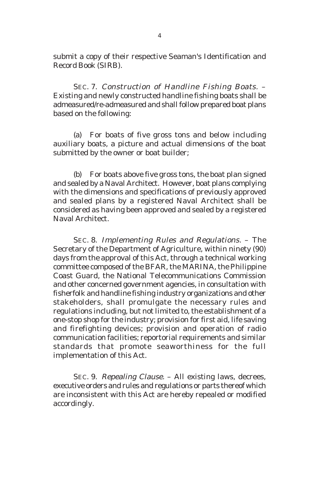submit a copy of their respective Seaman's Identification and Record Book (SIRB).

SEC. 7. Construction of Handline Fishing Boats. – Existing and newly constructed handline fishing boats shall be admeasured/re-admeasured and shall follow prepared boat plans based on the following:

(a) For boats of five gross tons and below including auxiliary boats, a picture and actual dimensions of the boat submitted by the owner or boat builder;

(b) For boats above five gross tons, the boat plan signed and sealed by a Naval Architect. However, boat plans complying with the dimensions and specifications of previously approved and sealed plans by a registered Naval Architect shall be considered as having been approved and sealed by a registered Naval Architect.

SEC. 8. Implementing Rules and Regulations. – The Secretary of the Department of Agriculture, within ninety (90) days from the approval of this Act, through a technical working committee composed of the BFAR, the MARINA, the Philippine Coast Guard, the National Telecommunications Commission and other concerned government agencies, in consultation with fisherfolk and handline fishing industry organizations and other stakeholders, shall promulgate the necessary rules and regulations including, but not limited to, the establishment of a one-stop shop for the industry; provision for first aid, life saving and firefighting devices; provision and operation of radio communication facilities; reportorial requirements and similar standards that promote seaworthiness for the full implementation of this Act.

SEC. 9. Repealing Clause. – All existing laws, decrees, executive orders and rules and regulations or parts thereof which are inconsistent with this Act are hereby repealed or modified accordingly.